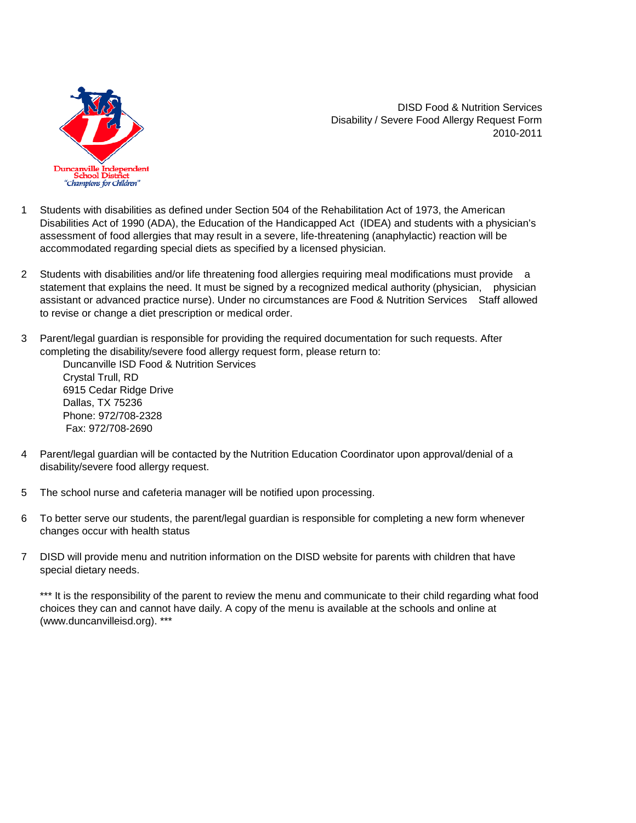

DISD Food & Nutrition Services Disability / Severe Food Allergy Request Form 2010-2011

- 1 Students with disabilities as defined under Section 504 of the Rehabilitation Act of 1973, the American Disabilities Act of 1990 (ADA), the Education of the Handicapped Act (IDEA) and students with a physician's assessment of food allergies that may result in a severe, life-threatening (anaphylactic) reaction will be accommodated regarding special diets as specified by a licensed physician.
- 2 Students with disabilities and/or life threatening food allergies requiring meal modifications must provide a statement that explains the need. It must be signed by a recognized medical authority (physician, physician assistant or advanced practice nurse). Under no circumstances are Food & Nutrition Services Staff allowed to revise or change a diet prescription or medical order.
- 3 Parent/legal guardian is responsible for providing the required documentation for such requests. After completing the disability/severe food allergy request form, please return to:

 Duncanville ISD Food & Nutrition Services Crystal Trull, RD 6915 Cedar Ridge Drive Dallas, TX 75236 Phone: 972/708-2328 Fax: 972/708-2690

- 4 Parent/legal guardian will be contacted by the Nutrition Education Coordinator upon approval/denial of a disability/severe food allergy request.
- 5 The school nurse and cafeteria manager will be notified upon processing.
- 6 To better serve our students, the parent/legal guardian is responsible for completing a new form whenever changes occur with health status
- 7 DISD will provide menu and nutrition information on the DISD website for parents with children that have special dietary needs.

\*\*\* It is the responsibility of the parent to review the menu and communicate to their child regarding what food choices they can and cannot have daily. A copy of the menu is available at the schools and online at (www.duncanvilleisd.org). \*\*\*